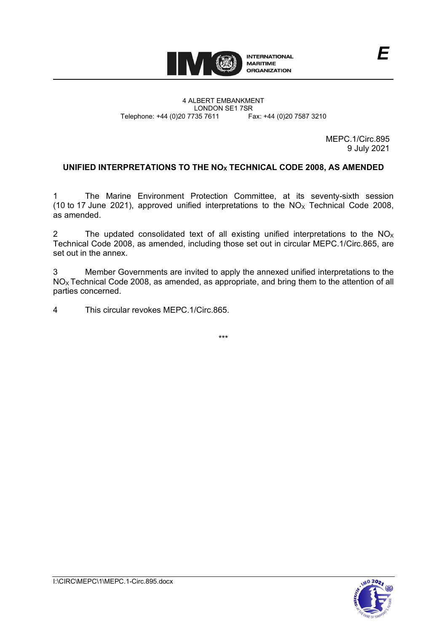

#### 4 ALBERT EMBANKMENT LONDON SE1 7SR<br>735 7611 Fax: +44 (0)20 7587 3210 Telephone: +44 (0)20 7735 7611

MEPC.1/Circ.895 9 July 2021

*E*

# **UNIFIED INTERPRETATIONS TO THE NOX TECHNICAL CODE 2008, AS AMENDED**

1 The Marine Environment Protection Committee, at its seventy-sixth session (10 to 17 June 2021), approved unified interpretations to the  $NO<sub>x</sub>$  Technical Code 2008, as amended.

2 The updated consolidated text of all existing unified interpretations to the  $NO<sub>X</sub>$ Technical Code 2008, as amended, including those set out in circular MEPC.1/Circ.865, are set out in the annex.

3 Member Governments are invited to apply the annexed unified interpretations to the  $NO<sub>x</sub>$  Technical Code 2008, as amended, as appropriate, and bring them to the attention of all parties concerned.

4 This circular revokes MEPC.1/Circ.865.

\*\*\*

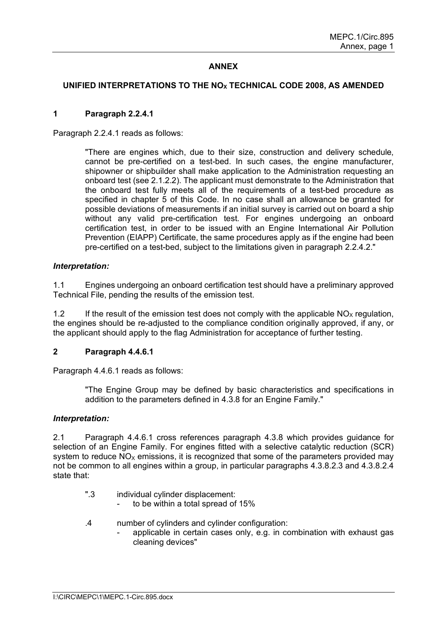## **ANNEX**

## **UNIFIED INTERPRETATIONS TO THE NOX TECHNICAL CODE 2008, AS AMENDED**

### **1 Paragraph 2.2.4.1**

Paragraph 2.2.4.1 reads as follows:

"There are engines which, due to their size, construction and delivery schedule, cannot be pre-certified on a test-bed. In such cases, the engine manufacturer, shipowner or shipbuilder shall make application to the Administration requesting an onboard test (see 2.1.2.2). The applicant must demonstrate to the Administration that the onboard test fully meets all of the requirements of a test-bed procedure as specified in chapter 5 of this Code. In no case shall an allowance be granted for possible deviations of measurements if an initial survey is carried out on board a ship without any valid pre-certification test. For engines undergoing an onboard certification test, in order to be issued with an Engine International Air Pollution Prevention (EIAPP) Certificate, the same procedures apply as if the engine had been pre-certified on a test-bed, subject to the limitations given in paragraph 2.2.4.2."

### *Interpretation:*

1.1 Engines undergoing an onboard certification test should have a preliminary approved Technical File, pending the results of the emission test.

1.2 If the result of the emission test does not comply with the applicable  $NO<sub>x</sub>$  regulation, the engines should be re-adjusted to the compliance condition originally approved, if any, or the applicant should apply to the flag Administration for acceptance of further testing.

### **2 Paragraph 4.4.6.1**

Paragraph 4.4.6.1 reads as follows:

"The Engine Group may be defined by basic characteristics and specifications in addition to the parameters defined in 4.3.8 for an Engine Family."

#### *Interpretation:*

2.1 Paragraph 4.4.6.1 cross references paragraph 4.3.8 which provides guidance for selection of an Engine Family. For engines fitted with a selective catalytic reduction (SCR) system to reduce  $NO<sub>x</sub>$  emissions, it is recognized that some of the parameters provided may not be common to all engines within a group, in particular paragraphs 4.3.8.2.3 and 4.3.8.2.4 state that:

- ".3 individual cylinder displacement:
	- to be within a total spread of 15%
- .4 number of cylinders and cylinder configuration:
	- applicable in certain cases only, e.g. in combination with exhaust gas cleaning devices"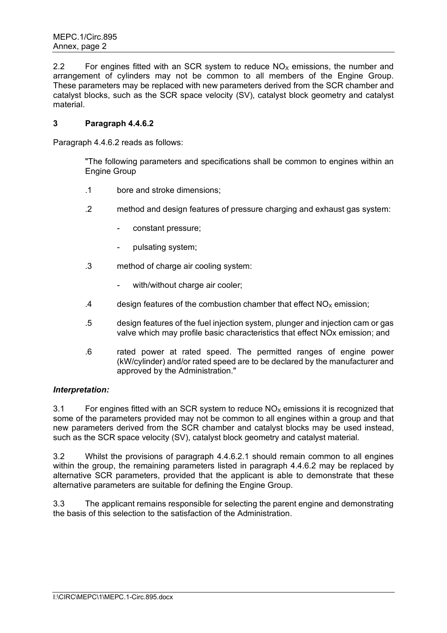2.2 For engines fitted with an SCR system to reduce  $NO<sub>X</sub>$  emissions, the number and arrangement of cylinders may not be common to all members of the Engine Group. These parameters may be replaced with new parameters derived from the SCR chamber and catalyst blocks, such as the SCR space velocity (SV), catalyst block geometry and catalyst material.

## **3 Paragraph 4.4.6.2**

Paragraph 4.4.6.2 reads as follows:

"The following parameters and specifications shall be common to engines within an Engine Group

- .1 bore and stroke dimensions;
- .2 method and design features of pressure charging and exhaust gas system:
	- constant pressure;
	- pulsating system;
- .3 method of charge air cooling system:
	- with/without charge air cooler;
- .4 design features of the combustion chamber that effect  $NO<sub>x</sub>$  emission;
- .5 design features of the fuel injection system, plunger and injection cam or gas valve which may profile basic characteristics that effect NOx emission; and
- .6 rated power at rated speed. The permitted ranges of engine power (kW/cylinder) and/or rated speed are to be declared by the manufacturer and approved by the Administration."

## *Interpretation:*

3.1 For engines fitted with an SCR system to reduce  $NO<sub>x</sub>$  emissions it is recognized that some of the parameters provided may not be common to all engines within a group and that new parameters derived from the SCR chamber and catalyst blocks may be used instead, such as the SCR space velocity (SV), catalyst block geometry and catalyst material.

3.2 Whilst the provisions of paragraph 4.4.6.2.1 should remain common to all engines within the group, the remaining parameters listed in paragraph 4.4.6.2 may be replaced by alternative SCR parameters, provided that the applicant is able to demonstrate that these alternative parameters are suitable for defining the Engine Group.

3.3 The applicant remains responsible for selecting the parent engine and demonstrating the basis of this selection to the satisfaction of the Administration.